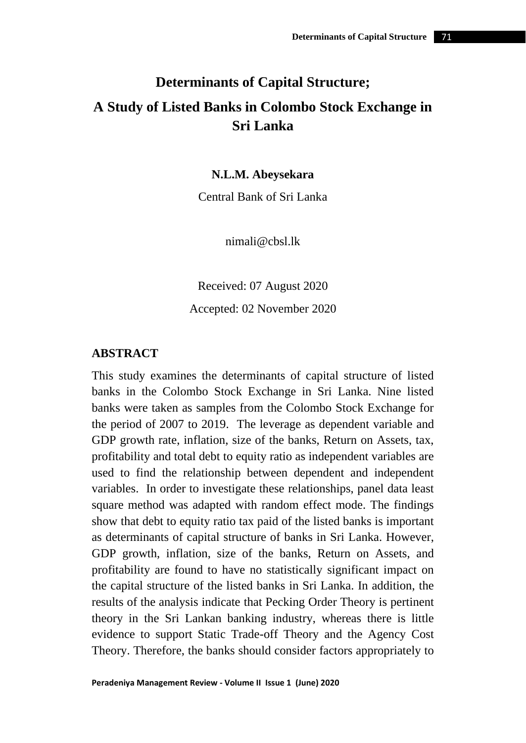# **Determinants of Capital Structure; A Study of Listed Banks in Colombo Stock Exchange in Sri Lanka**

**N.L.M. Abeysekara**

Central Bank of Sri Lanka

nimali@cbsl.lk

Received: 07 August 2020 Accepted: 02 November 2020

#### **ABSTRACT**

This study examines the determinants of capital structure of listed banks in the Colombo Stock Exchange in Sri Lanka. Nine listed banks were taken as samples from the Colombo Stock Exchange for the period of 2007 to 2019. The leverage as dependent variable and GDP growth rate, inflation, size of the banks, Return on Assets, tax, profitability and total debt to equity ratio as independent variables are used to find the relationship between dependent and independent variables. In order to investigate these relationships, panel data least square method was adapted with random effect mode. The findings show that debt to equity ratio tax paid of the listed banks is important as determinants of capital structure of banks in Sri Lanka. However, GDP growth, inflation, size of the banks, Return on Assets, and profitability are found to have no statistically significant impact on the capital structure of the listed banks in Sri Lanka. In addition, the results of the analysis indicate that Pecking Order Theory is pertinent theory in the Sri Lankan banking industry, whereas there is little evidence to support Static Trade-off Theory and the Agency Cost Theory. Therefore, the banks should consider factors appropriately to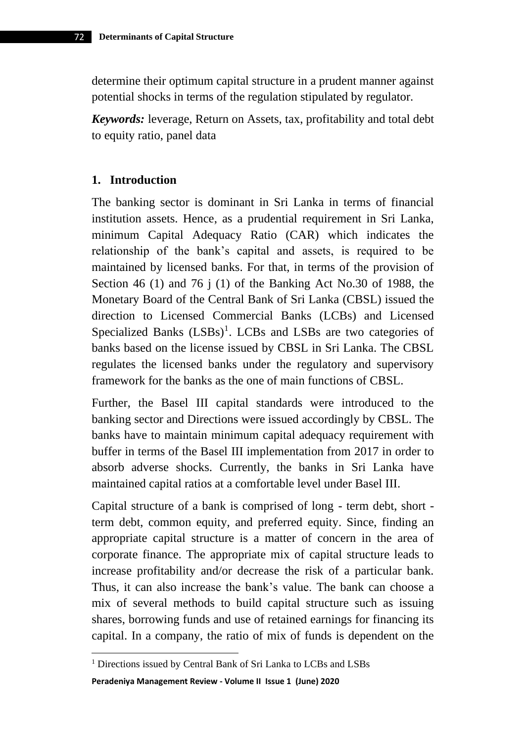determine their optimum capital structure in a prudent manner against potential shocks in terms of the regulation stipulated by regulator.

*Keywords:* leverage, Return on Assets, tax, profitability and total debt to equity ratio, panel data

#### **1. Introduction**

The banking sector is dominant in Sri Lanka in terms of financial institution assets. Hence, as a prudential requirement in Sri Lanka, minimum Capital Adequacy Ratio (CAR) which indicates the relationship of the bank's capital and assets, is required to be maintained by licensed banks. For that, in terms of the provision of Section 46 (1) and 76 j (1) of the Banking Act No.30 of 1988, the Monetary Board of the Central Bank of Sri Lanka (CBSL) issued the direction to Licensed Commercial Banks (LCBs) and Licensed Specialized Banks (LSBs)<sup>1</sup>. LCBs and LSBs are two categories of banks based on the license issued by CBSL in Sri Lanka. The CBSL regulates the licensed banks under the regulatory and supervisory framework for the banks as the one of main functions of CBSL.

Further, the Basel III capital standards were introduced to the banking sector and Directions were issued accordingly by CBSL. The banks have to maintain minimum capital adequacy requirement with buffer in terms of the Basel III implementation from 2017 in order to absorb adverse shocks. Currently, the banks in Sri Lanka have maintained capital ratios at a comfortable level under Basel III.

Capital structure of a bank is comprised of long - term debt, short term debt, common equity, and preferred equity. Since, finding an appropriate capital structure is a matter of concern in the area of corporate finance. The appropriate mix of capital structure leads to increase profitability and/or decrease the risk of a particular bank. Thus, it can also increase the bank's value. The bank can choose a mix of several methods to build capital structure such as issuing shares, borrowing funds and use of retained earnings for financing its capital. In a company, the ratio of mix of funds is dependent on the

**Peradeniya Management Review - Volume II Issue 1 (June) 2020** 

<sup>1</sup> Directions issued by Central Bank of Sri Lanka to LCBs and LSBs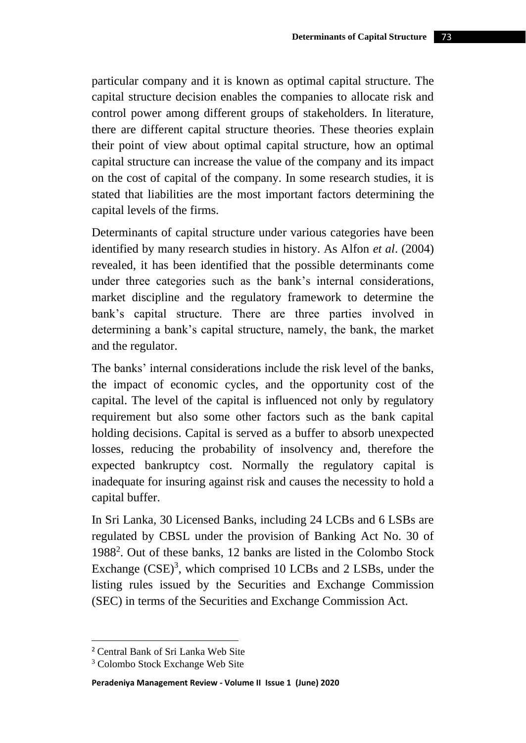particular company and it is known as optimal capital structure. The capital structure decision enables the companies to allocate risk and control power among different groups of stakeholders. In literature, there are different capital structure theories. These theories explain their point of view about optimal capital structure, how an optimal capital structure can increase the value of the company and its impact on the cost of capital of the company. In some research studies, it is stated that liabilities are the most important factors determining the capital levels of the firms.

Determinants of capital structure under various categories have been identified by many research studies in history. As Alfon *et al*. (2004) revealed, it has been identified that the possible determinants come under three categories such as the bank's internal considerations, market discipline and the regulatory framework to determine the bank's capital structure. There are three parties involved in determining a bank's capital structure, namely, the bank, the market and the regulator.

The banks' internal considerations include the risk level of the banks, the impact of economic cycles, and the opportunity cost of the capital. The level of the capital is influenced not only by regulatory requirement but also some other factors such as the bank capital holding decisions. Capital is served as a buffer to absorb unexpected losses, reducing the probability of insolvency and, therefore the expected bankruptcy cost. Normally the regulatory capital is inadequate for insuring against risk and causes the necessity to hold a capital buffer.

In Sri Lanka, 30 Licensed Banks, including 24 LCBs and 6 LSBs are regulated by CBSL under the provision of Banking Act No. 30 of 1988<sup>2</sup> . Out of these banks, 12 banks are listed in the Colombo Stock Exchange  $(CSE)^3$ , which comprised 10 LCBs and 2 LSBs, under the listing rules issued by the Securities and Exchange Commission (SEC) in terms of the Securities and Exchange Commission Act.

<sup>2</sup> Central Bank of Sri Lanka Web Site

<sup>3</sup> Colombo Stock Exchange Web Site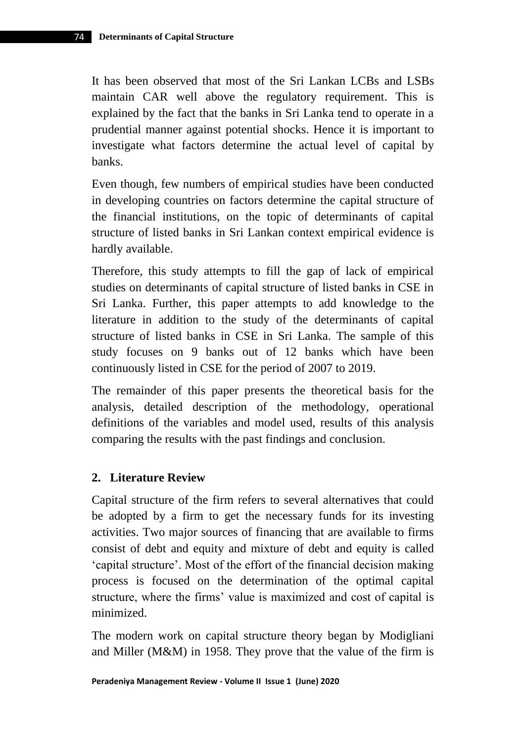It has been observed that most of the Sri Lankan LCBs and LSBs maintain CAR well above the regulatory requirement. This is explained by the fact that the banks in Sri Lanka tend to operate in a prudential manner against potential shocks. Hence it is important to investigate what factors determine the actual level of capital by banks.

Even though, few numbers of empirical studies have been conducted in developing countries on factors determine the capital structure of the financial institutions, on the topic of determinants of capital structure of listed banks in Sri Lankan context empirical evidence is hardly available.

Therefore, this study attempts to fill the gap of lack of empirical studies on determinants of capital structure of listed banks in CSE in Sri Lanka. Further, this paper attempts to add knowledge to the literature in addition to the study of the determinants of capital structure of listed banks in CSE in Sri Lanka. The sample of this study focuses on 9 banks out of 12 banks which have been continuously listed in CSE for the period of 2007 to 2019.

The remainder of this paper presents the theoretical basis for the analysis, detailed description of the methodology, operational definitions of the variables and model used, results of this analysis comparing the results with the past findings and conclusion.

## **2. Literature Review**

Capital structure of the firm refers to several alternatives that could be adopted by a firm to get the necessary funds for its investing activities. Two major sources of financing that are available to firms consist of debt and equity and mixture of debt and equity is called 'capital structure'. Most of the effort of the financial decision making process is focused on the determination of the optimal capital structure, where the firms' value is maximized and cost of capital is minimized.

The modern work on capital structure theory began by Modigliani and Miller (M&M) in 1958. They prove that the value of the firm is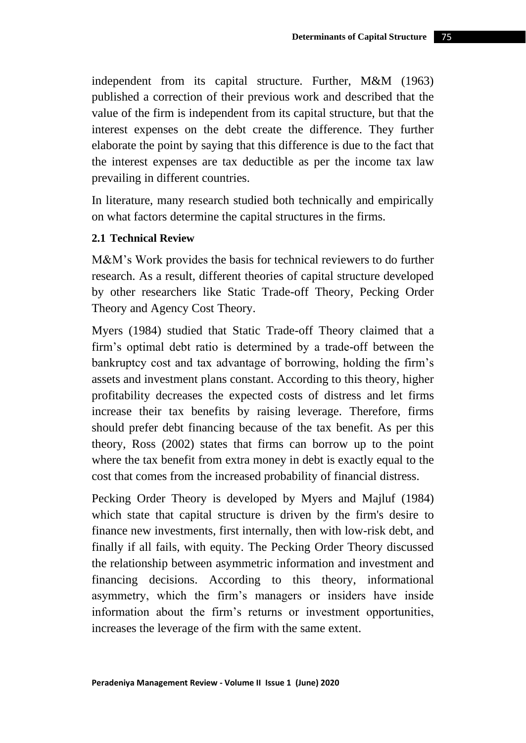independent from its capital structure. Further, M&M (1963) published a correction of their previous work and described that the value of the firm is independent from its capital structure, but that the interest expenses on the debt create the difference. They further elaborate the point by saying that this difference is due to the fact that the interest expenses are tax deductible as per the income tax law prevailing in different countries.

In literature, many research studied both technically and empirically on what factors determine the capital structures in the firms.

## **2.1 Technical Review**

M&M's Work provides the basis for technical reviewers to do further research. As a result, different theories of capital structure developed by other researchers like Static Trade-off Theory, Pecking Order Theory and Agency Cost Theory.

Myers (1984) studied that Static Trade-off Theory claimed that a firm's optimal debt ratio is determined by a trade-off between the bankruptcy cost and tax advantage of borrowing, holding the firm's assets and investment plans constant. According to this theory, higher profitability decreases the expected costs of distress and let firms increase their tax benefits by raising leverage. Therefore, firms should prefer debt financing because of the tax benefit. As per this theory, Ross (2002) states that firms can borrow up to the point where the tax benefit from extra money in debt is exactly equal to the cost that comes from the increased probability of financial distress.

Pecking Order Theory is developed by Myers and Majluf (1984) which state that capital structure is driven by the firm's desire to finance new investments, first internally, then with low-risk debt, and finally if all fails, with equity. The Pecking Order Theory discussed the relationship between asymmetric information and investment and financing decisions. According to this theory, informational asymmetry, which the firm's managers or insiders have inside information about the firm's returns or investment opportunities, increases the leverage of the firm with the same extent.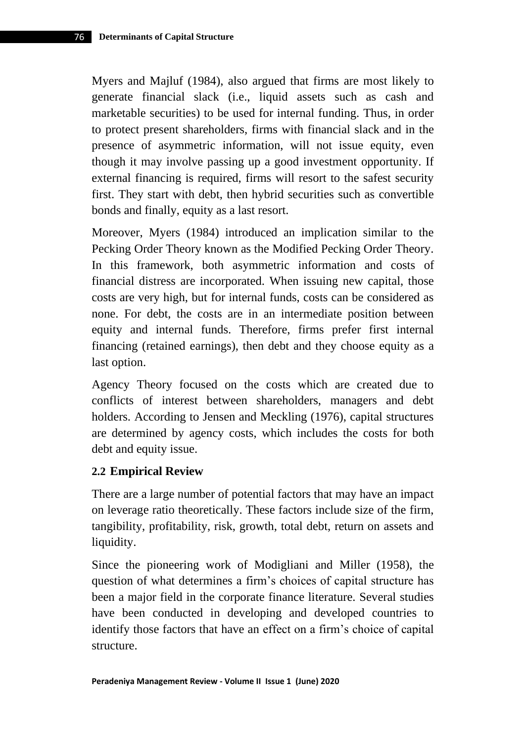Myers and Majluf (1984), also argued that firms are most likely to generate financial slack (i.e., liquid assets such as cash and marketable securities) to be used for internal funding. Thus, in order to protect present shareholders, firms with financial slack and in the presence of asymmetric information, will not issue equity, even though it may involve passing up a good investment opportunity. If external financing is required, firms will resort to the safest security first. They start with debt, then hybrid securities such as convertible bonds and finally, equity as a last resort.

Moreover, Myers (1984) introduced an implication similar to the Pecking Order Theory known as the Modified Pecking Order Theory. In this framework, both asymmetric information and costs of financial distress are incorporated. When issuing new capital, those costs are very high, but for internal funds, costs can be considered as none. For debt, the costs are in an intermediate position between equity and internal funds. Therefore, firms prefer first internal financing (retained earnings), then debt and they choose equity as a last option.

Agency Theory focused on the costs which are created due to conflicts of interest between shareholders, managers and debt holders. According to Jensen and Meckling (1976), capital structures are determined by agency costs, which includes the costs for both debt and equity issue.

# **2.2 Empirical Review**

There are a large number of potential factors that may have an impact on leverage ratio theoretically. These factors include size of the firm, tangibility, profitability, risk, growth, total debt, return on assets and liquidity.

Since the pioneering work of Modigliani and Miller (1958), the question of what determines a firm's choices of capital structure has been a major field in the corporate finance literature. Several studies have been conducted in developing and developed countries to identify those factors that have an effect on a firm's choice of capital structure.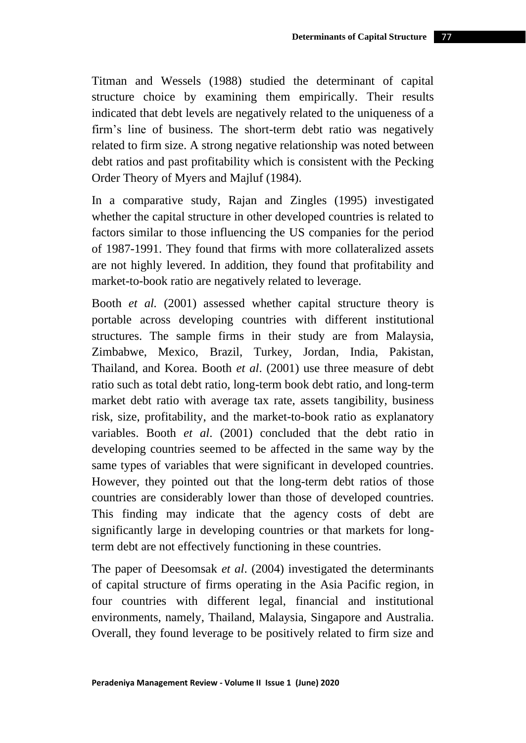Titman and Wessels (1988) studied the determinant of capital structure choice by examining them empirically. Their results indicated that debt levels are negatively related to the uniqueness of a firm's line of business. The short-term debt ratio was negatively related to firm size. A strong negative relationship was noted between debt ratios and past profitability which is consistent with the Pecking Order Theory of Myers and Majluf (1984).

In a comparative study, Rajan and Zingles (1995) investigated whether the capital structure in other developed countries is related to factors similar to those influencing the US companies for the period of 1987-1991. They found that firms with more collateralized assets are not highly levered. In addition, they found that profitability and market-to-book ratio are negatively related to leverage.

Booth *et al.* (2001) assessed whether capital structure theory is portable across developing countries with different institutional structures. The sample firms in their study are from Malaysia, Zimbabwe, Mexico, Brazil, Turkey, Jordan, India, Pakistan, Thailand, and Korea. Booth *et al*. (2001) use three measure of debt ratio such as total debt ratio, long-term book debt ratio, and long-term market debt ratio with average tax rate, assets tangibility, business risk, size, profitability, and the market-to-book ratio as explanatory variables. Booth *et al*. (2001) concluded that the debt ratio in developing countries seemed to be affected in the same way by the same types of variables that were significant in developed countries. However, they pointed out that the long-term debt ratios of those countries are considerably lower than those of developed countries. This finding may indicate that the agency costs of debt are significantly large in developing countries or that markets for longterm debt are not effectively functioning in these countries.

The paper of Deesomsak *et al*. (2004) investigated the determinants of capital structure of firms operating in the Asia Pacific region, in four countries with different legal, financial and institutional environments, namely, Thailand, Malaysia, Singapore and Australia. Overall, they found leverage to be positively related to firm size and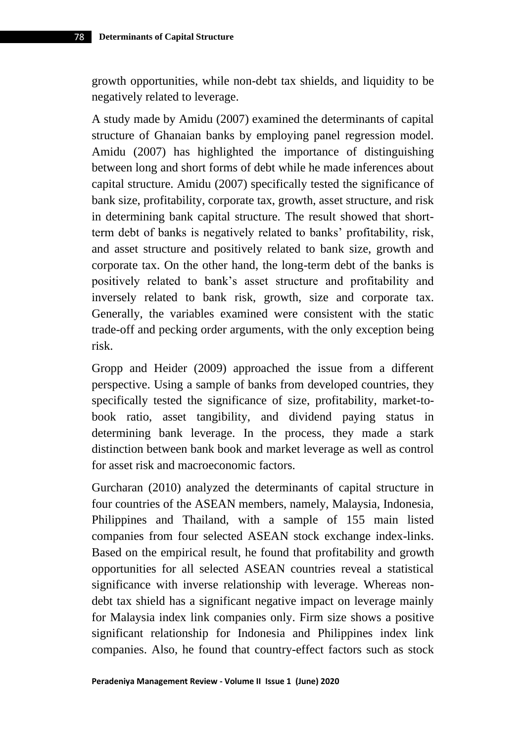growth opportunities, while non-debt tax shields, and liquidity to be negatively related to leverage.

A study made by Amidu (2007) examined the determinants of capital structure of Ghanaian banks by employing panel regression model. Amidu (2007) has highlighted the importance of distinguishing between long and short forms of debt while he made inferences about capital structure. Amidu (2007) specifically tested the significance of bank size, profitability, corporate tax, growth, asset structure, and risk in determining bank capital structure. The result showed that shortterm debt of banks is negatively related to banks' profitability, risk, and asset structure and positively related to bank size, growth and corporate tax. On the other hand, the long-term debt of the banks is positively related to bank's asset structure and profitability and inversely related to bank risk, growth, size and corporate tax. Generally, the variables examined were consistent with the static trade-off and pecking order arguments, with the only exception being risk.

Gropp and Heider (2009) approached the issue from a different perspective. Using a sample of banks from developed countries, they specifically tested the significance of size, profitability, market-tobook ratio, asset tangibility, and dividend paying status in determining bank leverage. In the process, they made a stark distinction between bank book and market leverage as well as control for asset risk and macroeconomic factors.

Gurcharan (2010) analyzed the determinants of capital structure in four countries of the ASEAN members, namely, Malaysia, Indonesia, Philippines and Thailand, with a sample of 155 main listed companies from four selected ASEAN stock exchange index-links. Based on the empirical result, he found that profitability and growth opportunities for all selected ASEAN countries reveal a statistical significance with inverse relationship with leverage. Whereas nondebt tax shield has a significant negative impact on leverage mainly for Malaysia index link companies only. Firm size shows a positive significant relationship for Indonesia and Philippines index link companies. Also, he found that country-effect factors such as stock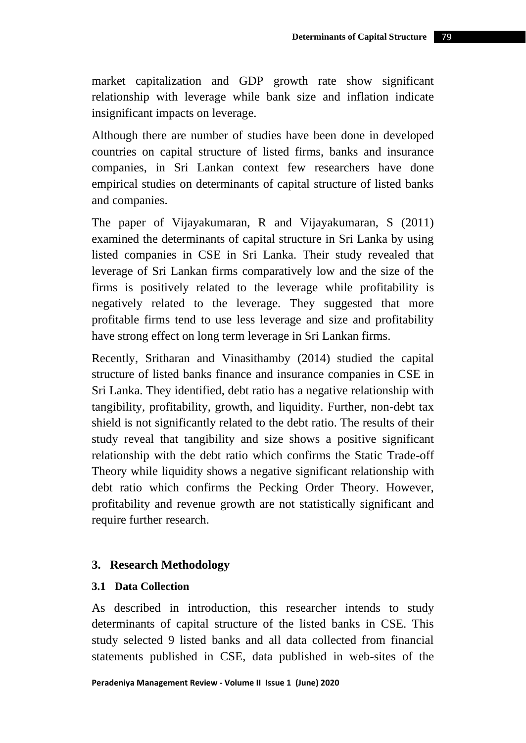market capitalization and GDP growth rate show significant relationship with leverage while bank size and inflation indicate insignificant impacts on leverage.

Although there are number of studies have been done in developed countries on capital structure of listed firms, banks and insurance companies, in Sri Lankan context few researchers have done empirical studies on determinants of capital structure of listed banks and companies.

The paper of Vijayakumaran, R and Vijayakumaran, S (2011) examined the determinants of capital structure in Sri Lanka by using listed companies in CSE in Sri Lanka. Their study revealed that leverage of Sri Lankan firms comparatively low and the size of the firms is positively related to the leverage while profitability is negatively related to the leverage. They suggested that more profitable firms tend to use less leverage and size and profitability have strong effect on long term leverage in Sri Lankan firms.

Recently, Sritharan and Vinasithamby (2014) studied the capital structure of listed banks finance and insurance companies in CSE in Sri Lanka. They identified, debt ratio has a negative relationship with tangibility, profitability, growth, and liquidity. Further, non-debt tax shield is not significantly related to the debt ratio. The results of their study reveal that tangibility and size shows a positive significant relationship with the debt ratio which confirms the Static Trade-off Theory while liquidity shows a negative significant relationship with debt ratio which confirms the Pecking Order Theory. However, profitability and revenue growth are not statistically significant and require further research.

#### **3. Research Methodology**

#### **3.1 Data Collection**

As described in introduction, this researcher intends to study determinants of capital structure of the listed banks in CSE. This study selected 9 listed banks and all data collected from financial statements published in CSE, data published in web-sites of the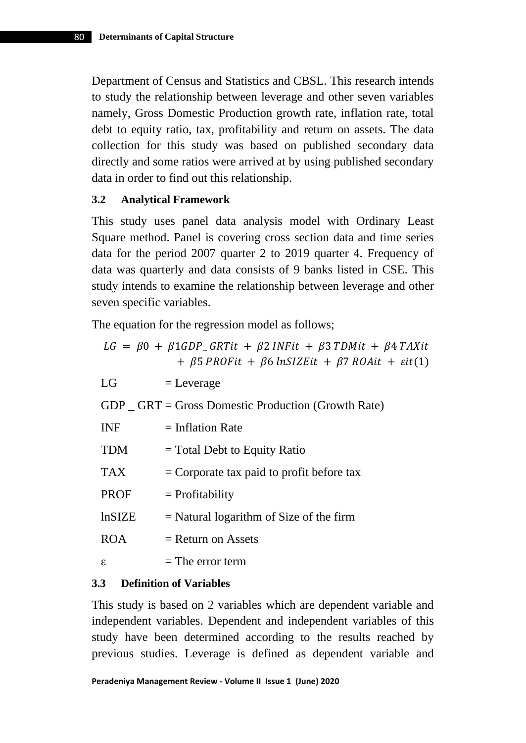Department of Census and Statistics and CBSL. This research intends to study the relationship between leverage and other seven variables namely, Gross Domestic Production growth rate, inflation rate, total debt to equity ratio, tax, profitability and return on assets. The data collection for this study was based on published secondary data directly and some ratios were arrived at by using published secondary data in order to find out this relationship.

## **3.2 Analytical Framework**

This study uses panel data analysis model with Ordinary Least Square method. Panel is covering cross section data and time series data for the period 2007 quarter 2 to 2019 quarter 4. Frequency of data was quarterly and data consists of 9 banks listed in CSE. This study intends to examine the relationship between leverage and other seven specific variables.

The equation for the regression model as follows;

|               | $LG = \beta 0 + \beta 1 GDP_G R T it + \beta 2 INFit + \beta 3 T DMit + \beta 4 T AXit$<br>$+$ $\beta$ 5 PROFit + $\beta$ 6 lnSIZEit + $\beta$ 7 ROAit + $\varepsilon$ it(1) |
|---------------|------------------------------------------------------------------------------------------------------------------------------------------------------------------------------|
| LG            | $=$ Leverage                                                                                                                                                                 |
|               | $GDP$ $\subseteq$ GRT = Gross Domestic Production (Growth Rate)                                                                                                              |
| <b>INF</b>    | $=$ Inflation Rate                                                                                                                                                           |
| <b>TDM</b>    | $=$ Total Debt to Equity Ratio                                                                                                                                               |
| <b>TAX</b>    | $=$ Corporate tax paid to profit before tax                                                                                                                                  |
| <b>PROF</b>   | $=$ Profitability                                                                                                                                                            |
| <b>lnSIZE</b> | $=$ Natural logarithm of Size of the firm                                                                                                                                    |
| <b>ROA</b>    | $=$ Return on Assets                                                                                                                                                         |
| ε             | $=$ The error term                                                                                                                                                           |

## **3.3 Definition of Variables**

This study is based on 2 variables which are dependent variable and independent variables. Dependent and independent variables of this study have been determined according to the results reached by previous studies. Leverage is defined as dependent variable and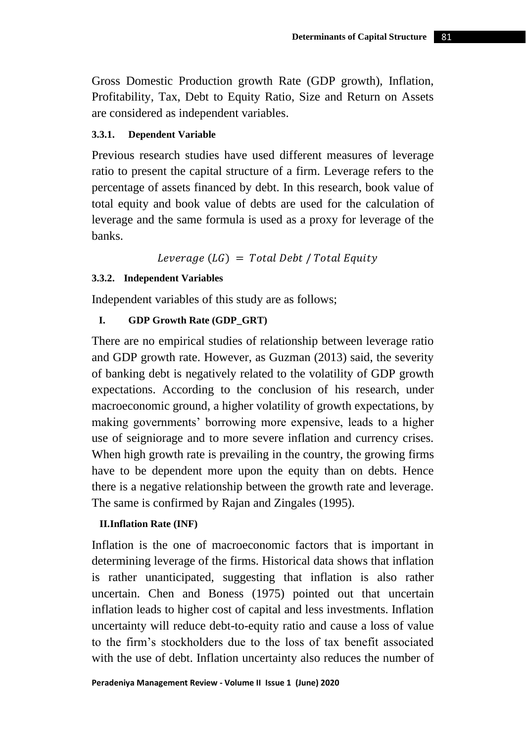Gross Domestic Production growth Rate (GDP growth), Inflation, Profitability, Tax, Debt to Equity Ratio, Size and Return on Assets are considered as independent variables.

#### **3.3.1. Dependent Variable**

Previous research studies have used different measures of leverage ratio to present the capital structure of a firm. Leverage refers to the percentage of assets financed by debt. In this research, book value of total equity and book value of debts are used for the calculation of leverage and the same formula is used as a proxy for leverage of the banks.

Leverage  $(LG) = Total Deb$  / Total Equity

## **3.3.2. Independent Variables**

Independent variables of this study are as follows;

# **I. GDP Growth Rate (GDP\_GRT)**

There are no empirical studies of relationship between leverage ratio and GDP growth rate. However, as Guzman (2013) said, the severity of banking debt is negatively related to the volatility of GDP growth expectations. According to the conclusion of his research, under macroeconomic ground, a higher volatility of growth expectations, by making governments' borrowing more expensive, leads to a higher use of seigniorage and to more severe inflation and currency crises. When high growth rate is prevailing in the country, the growing firms have to be dependent more upon the equity than on debts. Hence there is a negative relationship between the growth rate and leverage. The same is confirmed by Rajan and Zingales (1995).

## **II.Inflation Rate (INF)**

Inflation is the one of macroeconomic factors that is important in determining leverage of the firms. Historical data shows that inflation is rather unanticipated, suggesting that inflation is also rather uncertain. Chen and Boness (1975) pointed out that uncertain inflation leads to higher cost of capital and less investments. Inflation uncertainty will reduce debt-to-equity ratio and cause a loss of value to the firm's stockholders due to the loss of tax benefit associated with the use of debt. Inflation uncertainty also reduces the number of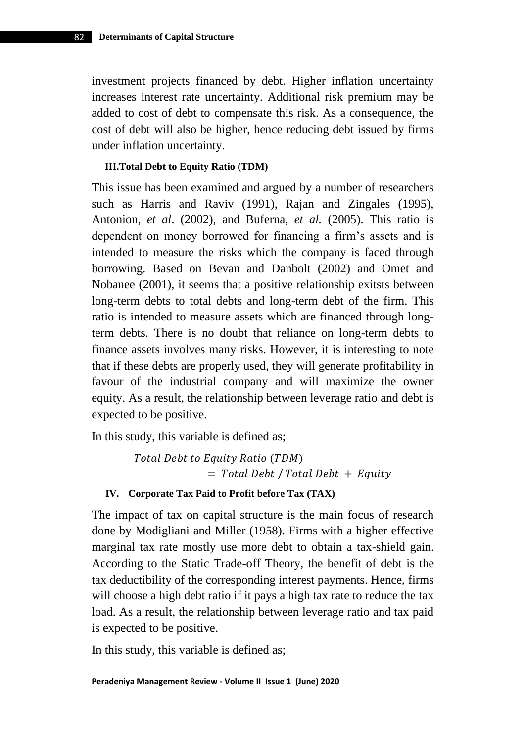investment projects financed by debt. Higher inflation uncertainty increases interest rate uncertainty. Additional risk premium may be added to cost of debt to compensate this risk. As a consequence, the cost of debt will also be higher, hence reducing debt issued by firms under inflation uncertainty.

#### **III.Total Debt to Equity Ratio (TDM)**

This issue has been examined and argued by a number of researchers such as Harris and Raviv (1991), Rajan and Zingales (1995), Antonion, *et al*. (2002), and Buferna, *et al.* (2005). This ratio is dependent on money borrowed for financing a firm's assets and is intended to measure the risks which the company is faced through borrowing. Based on Bevan and Danbolt (2002) and Omet and Nobanee (2001), it seems that a positive relationship exitsts between long-term debts to total debts and long-term debt of the firm. This ratio is intended to measure assets which are financed through longterm debts. There is no doubt that reliance on long-term debts to finance assets involves many risks. However, it is interesting to note that if these debts are properly used, they will generate profitability in favour of the industrial company and will maximize the owner equity. As a result, the relationship between leverage ratio and debt is expected to be positive.

In this study, this variable is defined as;

Total Debt to Equity Ratio (TDM)  $=$  Total Debt / Total Debt  $+$  Equity

#### **IV. Corporate Tax Paid to Profit before Tax (TAX)**

The impact of tax on capital structure is the main focus of research done by Modigliani and Miller (1958). Firms with a higher effective marginal tax rate mostly use more debt to obtain a tax-shield gain. According to the Static Trade-off Theory, the benefit of debt is the tax deductibility of the corresponding interest payments. Hence, firms will choose a high debt ratio if it pays a high tax rate to reduce the tax load. As a result, the relationship between leverage ratio and tax paid is expected to be positive.

In this study, this variable is defined as;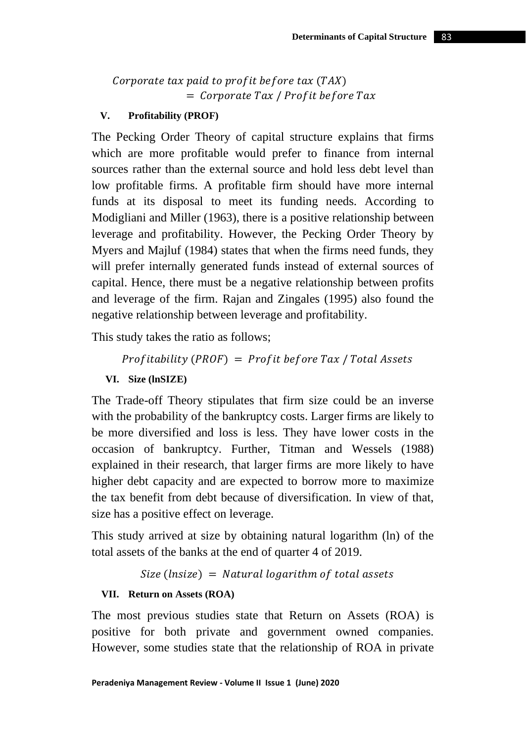# Corporate tax paid to profit before tax  $(TAX)$  $=$  Corporate Tax / Profit before Tax

## **V. Profitability (PROF)**

The Pecking Order Theory of capital structure explains that firms which are more profitable would prefer to finance from internal sources rather than the external source and hold less debt level than low profitable firms. A profitable firm should have more internal funds at its disposal to meet its funding needs. According to Modigliani and Miller (1963), there is a positive relationship between leverage and profitability. However, the Pecking Order Theory by Myers and Majluf (1984) states that when the firms need funds, they will prefer internally generated funds instead of external sources of capital. Hence, there must be a negative relationship between profits and leverage of the firm. Rajan and Zingales (1995) also found the negative relationship between leverage and profitability.

This study takes the ratio as follows;

```
Profitability (PROF) = Profit before Tax / Total Assets
```
**VI. Size (lnSIZE)**

The Trade-off Theory stipulates that firm size could be an inverse with the probability of the bankruptcy costs. Larger firms are likely to be more diversified and loss is less. They have lower costs in the occasion of bankruptcy. Further, Titman and Wessels (1988) explained in their research, that larger firms are more likely to have higher debt capacity and are expected to borrow more to maximize the tax benefit from debt because of diversification. In view of that, size has a positive effect on leverage.

This study arrived at size by obtaining natural logarithm (ln) of the total assets of the banks at the end of quarter 4 of 2019.

 $Size (lnsize) = Natural logarithm of total assets$ 

## **VII. Return on Assets (ROA)**

The most previous studies state that Return on Assets (ROA) is positive for both private and government owned companies. However, some studies state that the relationship of ROA in private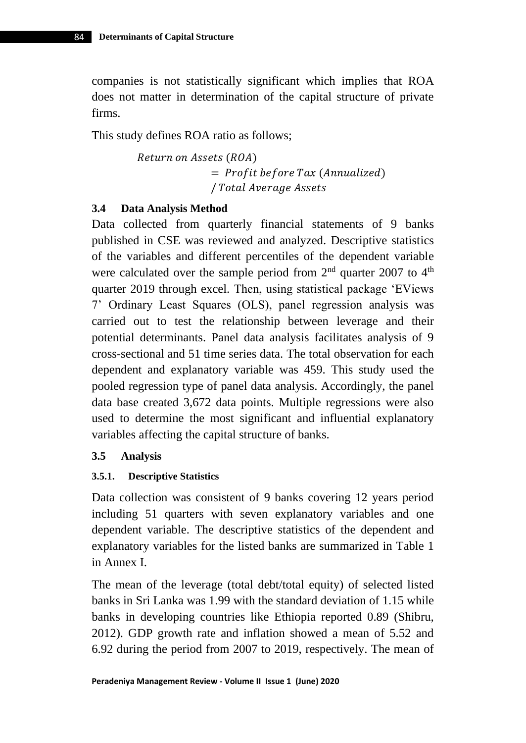companies is not statistically significant which implies that ROA does not matter in determination of the capital structure of private firms.

This study defines ROA ratio as follows;

Return on Assets (ROA)  $=$  Profit before Tax (Annualized) / Total Average Assets

## **3.4 Data Analysis Method**

Data collected from quarterly financial statements of 9 banks published in CSE was reviewed and analyzed. Descriptive statistics of the variables and different percentiles of the dependent variable were calculated over the sample period from  $2<sup>nd</sup>$  quarter 2007 to  $4<sup>th</sup>$ quarter 2019 through excel. Then, using statistical package 'EViews 7' Ordinary Least Squares (OLS), panel regression analysis was carried out to test the relationship between leverage and their potential determinants. Panel data analysis facilitates analysis of 9 cross-sectional and 51 time series data. The total observation for each dependent and explanatory variable was 459. This study used the pooled regression type of panel data analysis. Accordingly, the panel data base created 3,672 data points. Multiple regressions were also used to determine the most significant and influential explanatory variables affecting the capital structure of banks.

## **3.5 Analysis**

## **3.5.1. Descriptive Statistics**

Data collection was consistent of 9 banks covering 12 years period including 51 quarters with seven explanatory variables and one dependent variable. The descriptive statistics of the dependent and explanatory variables for the listed banks are summarized in Table 1 in Annex I.

The mean of the leverage (total debt/total equity) of selected listed banks in Sri Lanka was 1.99 with the standard deviation of 1.15 while banks in developing countries like Ethiopia reported 0.89 (Shibru, 2012). GDP growth rate and inflation showed a mean of 5.52 and 6.92 during the period from 2007 to 2019, respectively. The mean of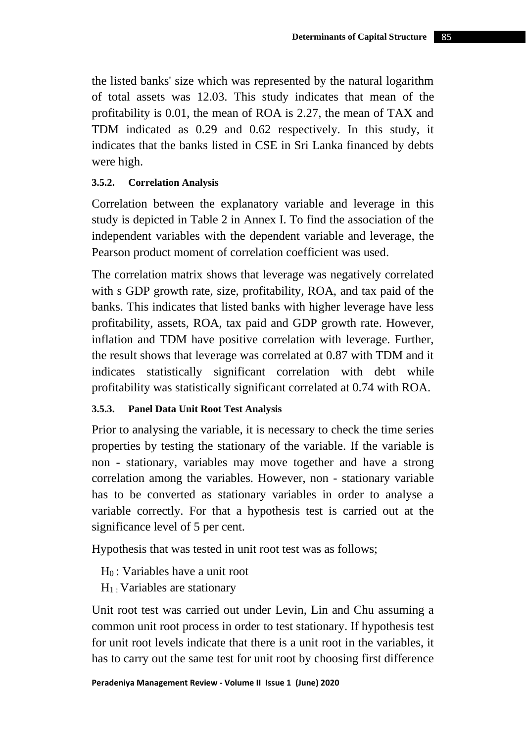the listed banks' size which was represented by the natural logarithm of total assets was 12.03. This study indicates that mean of the profitability is 0.01, the mean of ROA is 2.27, the mean of TAX and TDM indicated as 0.29 and 0.62 respectively. In this study, it indicates that the banks listed in CSE in Sri Lanka financed by debts were high.

## **3.5.2. Correlation Analysis**

Correlation between the explanatory variable and leverage in this study is depicted in Table 2 in Annex I. To find the association of the independent variables with the dependent variable and leverage, the Pearson product moment of correlation coefficient was used.

The correlation matrix shows that leverage was negatively correlated with s GDP growth rate, size, profitability, ROA, and tax paid of the banks. This indicates that listed banks with higher leverage have less profitability, assets, ROA, tax paid and GDP growth rate. However, inflation and TDM have positive correlation with leverage. Further, the result shows that leverage was correlated at 0.87 with TDM and it indicates statistically significant correlation with debt while profitability was statistically significant correlated at 0.74 with ROA.

## **3.5.3. Panel Data Unit Root Test Analysis**

Prior to analysing the variable, it is necessary to check the time series properties by testing the stationary of the variable. If the variable is non - stationary, variables may move together and have a strong correlation among the variables. However, non - stationary variable has to be converted as stationary variables in order to analyse a variable correctly. For that a hypothesis test is carried out at the significance level of 5 per cent.

Hypothesis that was tested in unit root test was as follows;

- $H_0$ : Variables have a unit root
- $H_1$ . Variables are stationary

Unit root test was carried out under Levin, Lin and Chu assuming a common unit root process in order to test stationary. If hypothesis test for unit root levels indicate that there is a unit root in the variables, it has to carry out the same test for unit root by choosing first difference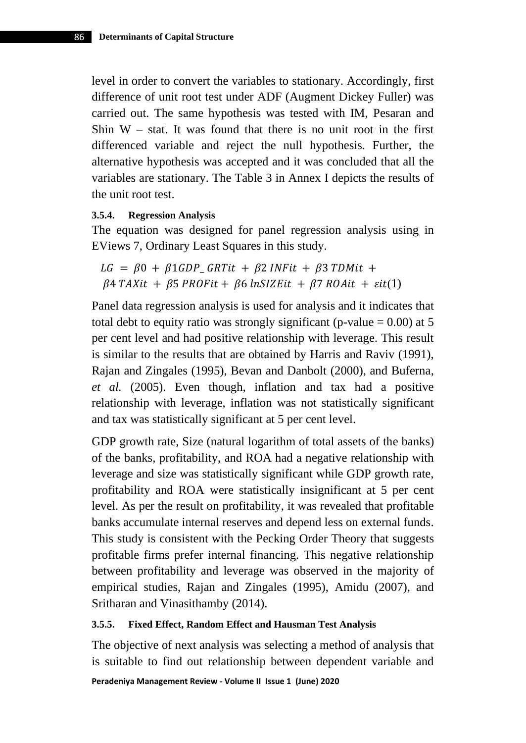level in order to convert the variables to stationary. Accordingly, first difference of unit root test under ADF (Augment Dickey Fuller) was carried out. The same hypothesis was tested with IM, Pesaran and Shin  $W -$  stat. It was found that there is no unit root in the first differenced variable and reject the null hypothesis. Further, the alternative hypothesis was accepted and it was concluded that all the variables are stationary. The Table 3 in Annex I depicts the results of the unit root test.

#### **3.5.4. Regression Analysis**

The equation was designed for panel regression analysis using in EViews 7, Ordinary Least Squares in this study.

```
LG = \beta 0 + \beta 1 GDP_{\alpha} GRTit + \beta 2 INFit + \beta 3 TDMit +\beta4 TAXit + \beta5 PROFit + \beta6 lnSIZEit + \beta7 ROAit + \varepsilonit(1)
```
Panel data regression analysis is used for analysis and it indicates that total debt to equity ratio was strongly significant (p-value  $= 0.00$ ) at 5 per cent level and had positive relationship with leverage. This result is similar to the results that are obtained by Harris and Raviv (1991), Rajan and Zingales (1995), Bevan and Danbolt (2000), and Buferna, *et al.* (2005). Even though, inflation and tax had a positive relationship with leverage, inflation was not statistically significant and tax was statistically significant at 5 per cent level.

GDP growth rate, Size (natural logarithm of total assets of the banks) of the banks, profitability, and ROA had a negative relationship with leverage and size was statistically significant while GDP growth rate, profitability and ROA were statistically insignificant at 5 per cent level. As per the result on profitability, it was revealed that profitable banks accumulate internal reserves and depend less on external funds. This study is consistent with the Pecking Order Theory that suggests profitable firms prefer internal financing. This negative relationship between profitability and leverage was observed in the majority of empirical studies, Rajan and Zingales (1995), Amidu (2007), and Sritharan and Vinasithamby (2014).

#### **3.5.5. Fixed Effect, Random Effect and Hausman Test Analysis**

The objective of next analysis was selecting a method of analysis that is suitable to find out relationship between dependent variable and

**Peradeniya Management Review - Volume II Issue 1 (June) 2020**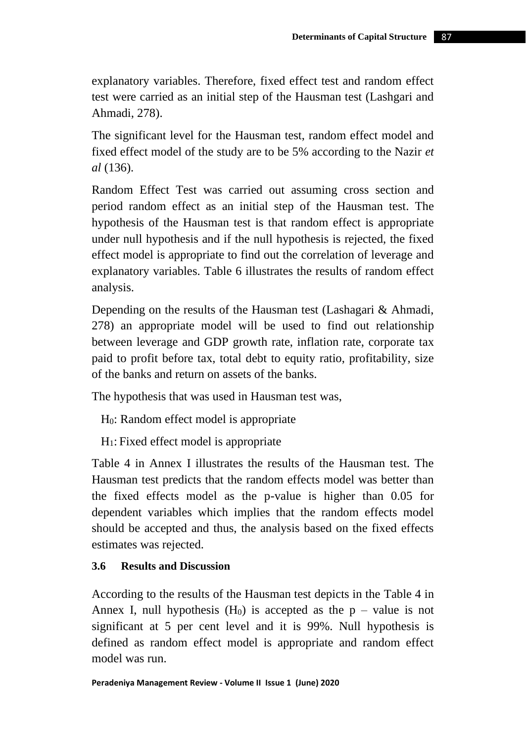explanatory variables. Therefore, fixed effect test and random effect test were carried as an initial step of the Hausman test (Lashgari and Ahmadi, 278).

The significant level for the Hausman test, random effect model and fixed effect model of the study are to be 5% according to the Nazir *et al* (136).

Random Effect Test was carried out assuming cross section and period random effect as an initial step of the Hausman test. The hypothesis of the Hausman test is that random effect is appropriate under null hypothesis and if the null hypothesis is rejected, the fixed effect model is appropriate to find out the correlation of leverage and explanatory variables. Table 6 illustrates the results of random effect analysis.

Depending on the results of the Hausman test (Lashagari & Ahmadi, 278) an appropriate model will be used to find out relationship between leverage and GDP growth rate, inflation rate, corporate tax paid to profit before tax, total debt to equity ratio, profitability, size of the banks and return on assets of the banks.

The hypothesis that was used in Hausman test was,

H0: Random effect model is appropriate

H1: Fixed effect model is appropriate

Table 4 in Annex I illustrates the results of the Hausman test. The Hausman test predicts that the random effects model was better than the fixed effects model as the p-value is higher than 0.05 for dependent variables which implies that the random effects model should be accepted and thus, the analysis based on the fixed effects estimates was rejected.

# **3.6 Results and Discussion**

According to the results of the Hausman test depicts in the Table 4 in Annex I, null hypothesis  $(H_0)$  is accepted as the  $p$  – value is not significant at 5 per cent level and it is 99%. Null hypothesis is defined as random effect model is appropriate and random effect model was run.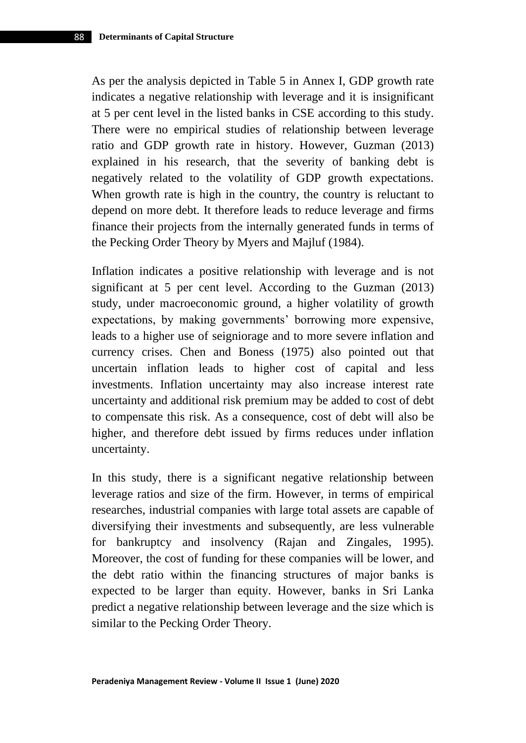As per the analysis depicted in Table 5 in Annex I, GDP growth rate indicates a negative relationship with leverage and it is insignificant at 5 per cent level in the listed banks in CSE according to this study. There were no empirical studies of relationship between leverage ratio and GDP growth rate in history. However, Guzman (2013) explained in his research, that the severity of banking debt is negatively related to the volatility of GDP growth expectations. When growth rate is high in the country, the country is reluctant to depend on more debt. It therefore leads to reduce leverage and firms finance their projects from the internally generated funds in terms of the Pecking Order Theory by Myers and Majluf (1984).

Inflation indicates a positive relationship with leverage and is not significant at 5 per cent level. According to the Guzman (2013) study, under macroeconomic ground, a higher volatility of growth expectations, by making governments' borrowing more expensive, leads to a higher use of seigniorage and to more severe inflation and currency crises. Chen and Boness (1975) also pointed out that uncertain inflation leads to higher cost of capital and less investments. Inflation uncertainty may also increase interest rate uncertainty and additional risk premium may be added to cost of debt to compensate this risk. As a consequence, cost of debt will also be higher, and therefore debt issued by firms reduces under inflation uncertainty.

In this study, there is a significant negative relationship between leverage ratios and size of the firm. However, in terms of empirical researches, industrial companies with large total assets are capable of diversifying their investments and subsequently, are less vulnerable for bankruptcy and insolvency (Rajan and Zingales, 1995). Moreover, the cost of funding for these companies will be lower, and the debt ratio within the financing structures of major banks is expected to be larger than equity. However, banks in Sri Lanka predict a negative relationship between leverage and the size which is similar to the Pecking Order Theory.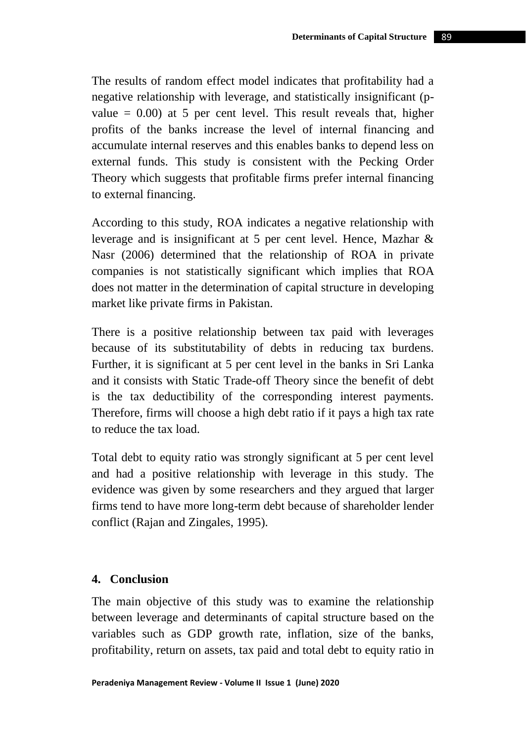The results of random effect model indicates that profitability had a negative relationship with leverage, and statistically insignificant (pvalue  $= 0.00$  at 5 per cent level. This result reveals that, higher profits of the banks increase the level of internal financing and accumulate internal reserves and this enables banks to depend less on external funds. This study is consistent with the Pecking Order Theory which suggests that profitable firms prefer internal financing to external financing.

According to this study, ROA indicates a negative relationship with leverage and is insignificant at 5 per cent level. Hence, Mazhar & Nasr (2006) determined that the relationship of ROA in private companies is not statistically significant which implies that ROA does not matter in the determination of capital structure in developing market like private firms in Pakistan.

There is a positive relationship between tax paid with leverages because of its substitutability of debts in reducing tax burdens. Further, it is significant at 5 per cent level in the banks in Sri Lanka and it consists with Static Trade-off Theory since the benefit of debt is the tax deductibility of the corresponding interest payments. Therefore, firms will choose a high debt ratio if it pays a high tax rate to reduce the tax load.

Total debt to equity ratio was strongly significant at 5 per cent level and had a positive relationship with leverage in this study. The evidence was given by some researchers and they argued that larger firms tend to have more long-term debt because of shareholder lender conflict (Rajan and Zingales, 1995).

## **4. Conclusion**

The main objective of this study was to examine the relationship between leverage and determinants of capital structure based on the variables such as GDP growth rate, inflation, size of the banks, profitability, return on assets, tax paid and total debt to equity ratio in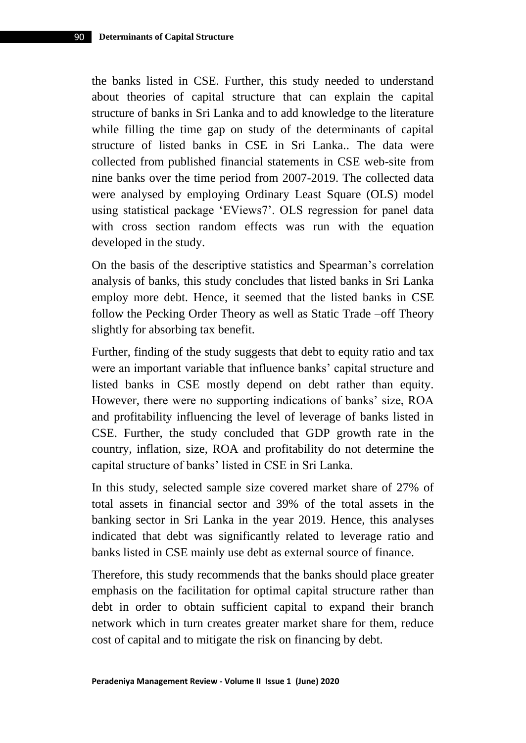the banks listed in CSE. Further, this study needed to understand about theories of capital structure that can explain the capital structure of banks in Sri Lanka and to add knowledge to the literature while filling the time gap on study of the determinants of capital structure of listed banks in CSE in Sri Lanka.. The data were collected from published financial statements in CSE web-site from nine banks over the time period from 2007-2019. The collected data were analysed by employing Ordinary Least Square (OLS) model using statistical package 'EViews7'. OLS regression for panel data with cross section random effects was run with the equation developed in the study.

On the basis of the descriptive statistics and Spearman's correlation analysis of banks, this study concludes that listed banks in Sri Lanka employ more debt. Hence, it seemed that the listed banks in CSE follow the Pecking Order Theory as well as Static Trade –off Theory slightly for absorbing tax benefit.

Further, finding of the study suggests that debt to equity ratio and tax were an important variable that influence banks' capital structure and listed banks in CSE mostly depend on debt rather than equity. However, there were no supporting indications of banks' size, ROA and profitability influencing the level of leverage of banks listed in CSE. Further, the study concluded that GDP growth rate in the country, inflation, size, ROA and profitability do not determine the capital structure of banks' listed in CSE in Sri Lanka.

In this study, selected sample size covered market share of 27% of total assets in financial sector and 39% of the total assets in the banking sector in Sri Lanka in the year 2019. Hence, this analyses indicated that debt was significantly related to leverage ratio and banks listed in CSE mainly use debt as external source of finance.

Therefore, this study recommends that the banks should place greater emphasis on the facilitation for optimal capital structure rather than debt in order to obtain sufficient capital to expand their branch network which in turn creates greater market share for them, reduce cost of capital and to mitigate the risk on financing by debt.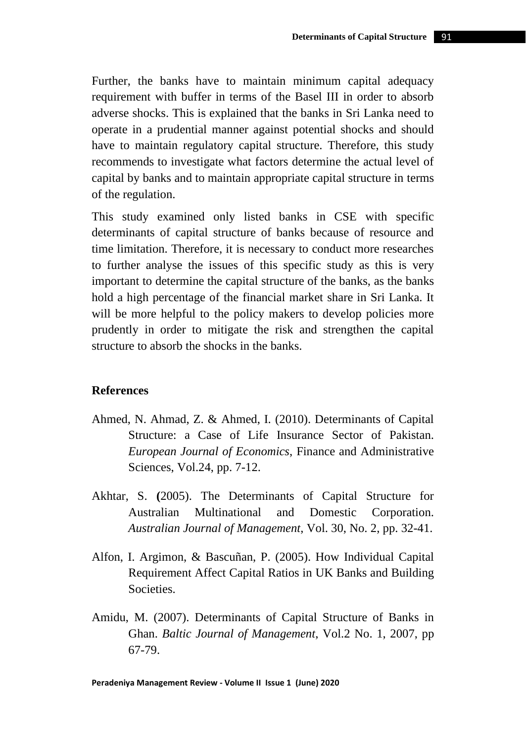Further, the banks have to maintain minimum capital adequacy requirement with buffer in terms of the Basel III in order to absorb adverse shocks. This is explained that the banks in Sri Lanka need to operate in a prudential manner against potential shocks and should have to maintain regulatory capital structure. Therefore, this study recommends to investigate what factors determine the actual level of capital by banks and to maintain appropriate capital structure in terms of the regulation.

This study examined only listed banks in CSE with specific determinants of capital structure of banks because of resource and time limitation. Therefore, it is necessary to conduct more researches to further analyse the issues of this specific study as this is very important to determine the capital structure of the banks, as the banks hold a high percentage of the financial market share in Sri Lanka. It will be more helpful to the policy makers to develop policies more prudently in order to mitigate the risk and strengthen the capital structure to absorb the shocks in the banks.

## **References**

- Ahmed, N. Ahmad, Z. & Ahmed, I. (2010). Determinants of Capital Structure: a Case of Life Insurance Sector of Pakistan. *European Journal of Economics*, Finance and Administrative Sciences, Vol.24, pp. 7-12.
- Akhtar, S. **(**2005). The Determinants of Capital Structure for Australian Multinational and Domestic Corporation. *Australian Journal of Management*, Vol. 30, No. 2, pp. 32-41.
- Alfon, I. Argimon, & Bascuñan, P. (2005). How Individual Capital Requirement Affect Capital Ratios in UK Banks and Building Societies.
- Amidu, M. (2007). Determinants of Capital Structure of Banks in Ghan. *Baltic Journal of Management*, Vol.2 No. 1, 2007, pp 67-79.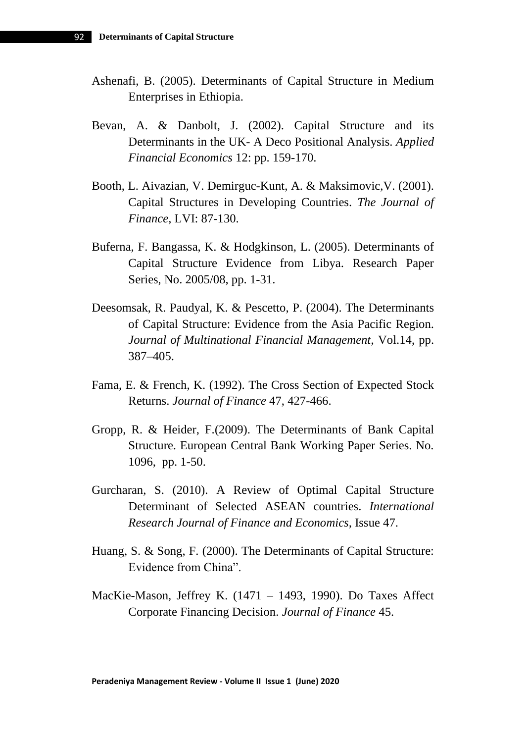- Ashenafi, B. (2005). Determinants of Capital Structure in Medium Enterprises in Ethiopia.
- Bevan, A. & Danbolt, J. (2002). Capital Structure and its Determinants in the UK- A Deco Positional Analysis. *Applied Financial Economics* 12: pp. 159-170.
- Booth, L. Aivazian, V. Demirguc-Kunt, A. & Maksimovic,V. (2001). Capital Structures in Developing Countries. *The Journal of Finance*, LVI: 87-130.
- Buferna, F. Bangassa, K. & Hodgkinson, L. (2005). Determinants of Capital Structure Evidence from Libya. Research Paper Series, No. 2005/08, pp. 1-31.
- Deesomsak, R. Paudyal, K. & Pescetto, P. (2004). The Determinants of Capital Structure: Evidence from the Asia Pacific Region. *Journal of Multinational Financial Management*, Vol.14, pp. 387–405.
- Fama, E. & French, K. (1992). The Cross Section of Expected Stock Returns. *Journal of Finance* 47, 427-466.
- Gropp, R. & Heider, F.(2009). The Determinants of Bank Capital Structure. European Central Bank Working Paper Series. No. 1096, pp. 1-50.
- Gurcharan, S. (2010). A Review of Optimal Capital Structure Determinant of Selected ASEAN countries. *International Research Journal of Finance and Economics,* Issue 47.
- Huang, S. & Song, F. (2000). The Determinants of Capital Structure: Evidence from China".
- MacKie-Mason, Jeffrey K. (1471 1493, 1990). Do Taxes Affect Corporate Financing Decision. *Journal of Finance* 45.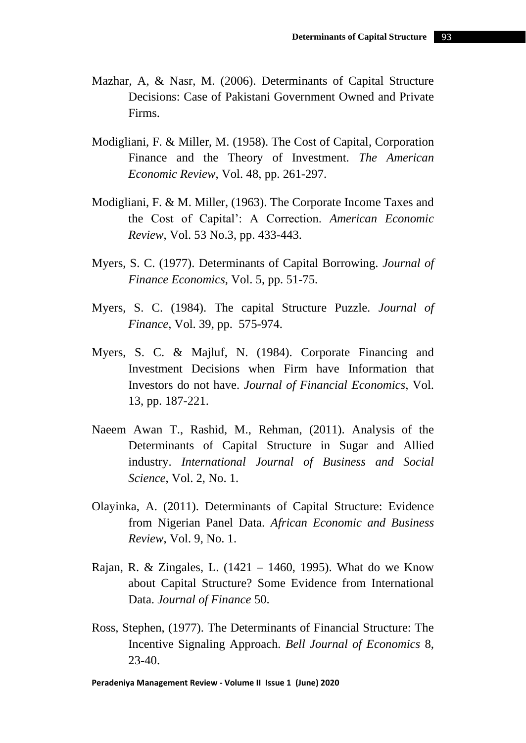- Mazhar, A, & Nasr, M. (2006). Determinants of Capital Structure Decisions: Case of Pakistani Government Owned and Private Firms.
- Modigliani, F. & Miller, M. (1958). The Cost of Capital, Corporation Finance and the Theory of Investment. *The American Economic Review*, Vol. 48, pp. 261-297.
- Modigliani, F. & M. Miller, (1963). The Corporate Income Taxes and the Cost of Capital': A Correction. *American Economic Review*, Vol. 53 No.3, pp. 433-443.
- Myers, S. C. (1977). Determinants of Capital Borrowing. *Journal of Finance Economics,* Vol. 5, pp. 51-75.
- Myers, S. C. (1984). The capital Structure Puzzle. *Journal of Finance*, Vol. 39, pp. 575-974.
- Myers, S. C. & Majluf, N. (1984). Corporate Financing and Investment Decisions when Firm have Information that Investors do not have. *Journal of Financial Economics*, Vol. 13, pp. 187-221.
- Naeem Awan T., Rashid, M., Rehman, (2011). Analysis of the Determinants of Capital Structure in Sugar and Allied industry. *International Journal of Business and Social Science*, Vol. 2, No. 1.
- Olayinka, A. (2011). Determinants of Capital Structure: Evidence from Nigerian Panel Data. *African Economic and Business Review*, Vol. 9, No. 1.
- Rajan, R. & Zingales, L. (1421 1460, 1995). What do we Know about Capital Structure? Some Evidence from International Data. *Journal of Finance* 50.
- Ross, Stephen, (1977). The Determinants of Financial Structure: The Incentive Signaling Approach. *Bell Journal of Economics* 8, 23-40.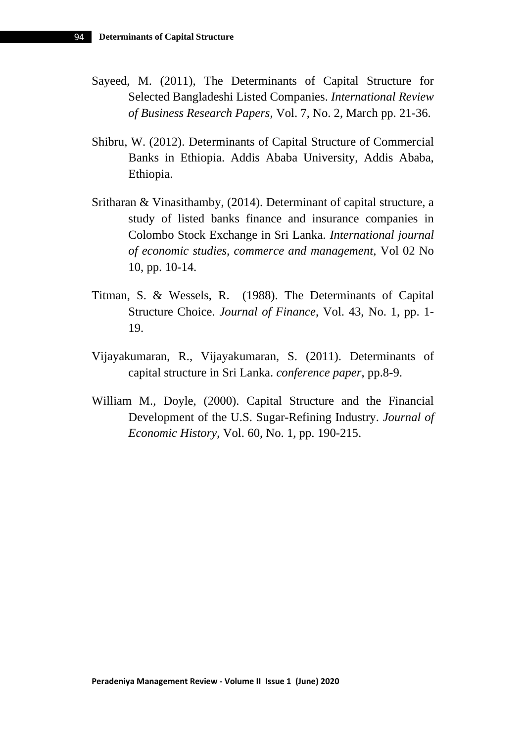- Sayeed, M. (2011), The Determinants of Capital Structure for Selected Bangladeshi Listed Companies. *International Review of Business Research Papers*, Vol. 7, No. 2, March pp. 21-36.
- Shibru, W. (2012). Determinants of Capital Structure of Commercial Banks in Ethiopia. Addis Ababa University, Addis Ababa, Ethiopia.
- Sritharan & Vinasithamby, (2014). Determinant of capital structure, a study of listed banks finance and insurance companies in Colombo Stock Exchange in Sri Lanka. *International journal of economic studies, commerce and management,* Vol 02 No 10, pp. 10-14.
- Titman, S. & Wessels, R. (1988). The Determinants of Capital Structure Choice. *Journal of Finance*, Vol. 43, No. 1, pp. 1- 19.
- Vijayakumaran, R., Vijayakumaran, S. (2011). Determinants of capital structure in Sri Lanka. *conference paper*, pp.8-9.
- William M., Doyle, (2000). Capital Structure and the Financial Development of the U.S. Sugar-Refining Industry. *Journal of Economic History*, Vol. 60, No. 1, pp. 190-215.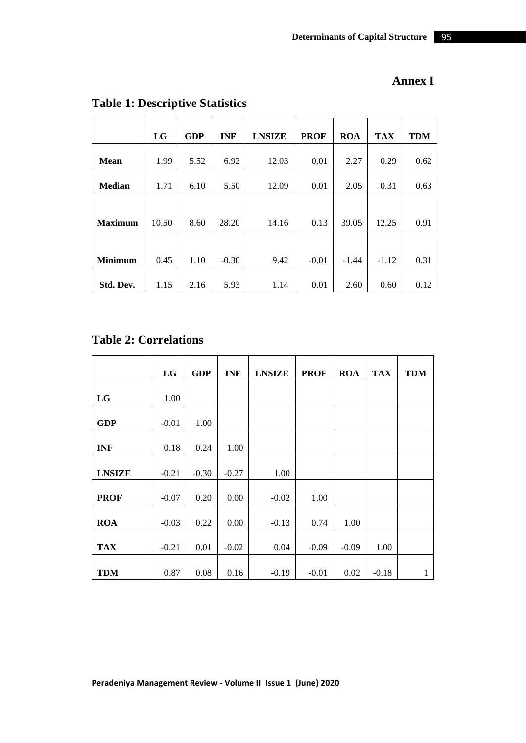|                | LG    | <b>GDP</b> | <b>INF</b> | <b>LNSIZE</b> | <b>PROF</b> | <b>ROA</b> | <b>TAX</b> | <b>TDM</b> |
|----------------|-------|------------|------------|---------------|-------------|------------|------------|------------|
|                |       |            |            |               |             |            |            |            |
| <b>Mean</b>    | 1.99  | 5.52       | 6.92       | 12.03         | 0.01        | 2.27       | 0.29       | 0.62       |
|                |       |            |            |               |             |            |            |            |
| <b>Median</b>  | 1.71  | 6.10       | 5.50       | 12.09         | 0.01        | 2.05       | 0.31       | 0.63       |
|                |       |            |            |               |             |            |            |            |
|                |       |            |            |               |             |            |            |            |
| <b>Maximum</b> | 10.50 | 8.60       | 28.20      | 14.16         | 0.13        | 39.05      | 12.25      | 0.91       |
|                |       |            |            |               |             |            |            |            |
|                |       |            |            |               |             |            |            |            |
| <b>Minimum</b> | 0.45  | 1.10       | $-0.30$    | 9.42          | $-0.01$     | $-1.44$    | $-1.12$    | 0.31       |
|                |       |            |            |               |             |            |            |            |
| Std. Dev.      | 1.15  | 2.16       | 5.93       | 1.14          | 0.01        | 2.60       | 0.60       | 0.12       |

# **Table 1: Descriptive Statistics**

# **Table 2: Correlations**

|               | LG      | <b>GDP</b> | <b>INF</b> | <b>LNSIZE</b> | <b>PROF</b> | <b>ROA</b> | <b>TAX</b> | <b>TDM</b>   |
|---------------|---------|------------|------------|---------------|-------------|------------|------------|--------------|
| LG            | 1.00    |            |            |               |             |            |            |              |
| <b>GDP</b>    | $-0.01$ | 1.00       |            |               |             |            |            |              |
| <b>INF</b>    | 0.18    | 0.24       | 1.00       |               |             |            |            |              |
| <b>LNSIZE</b> | $-0.21$ | $-0.30$    | $-0.27$    | 1.00          |             |            |            |              |
| <b>PROF</b>   | $-0.07$ | 0.20       | 0.00       | $-0.02$       | 1.00        |            |            |              |
| <b>ROA</b>    | $-0.03$ | 0.22       | 0.00       | $-0.13$       | 0.74        | 1.00       |            |              |
| <b>TAX</b>    | $-0.21$ | 0.01       | $-0.02$    | 0.04          | $-0.09$     | $-0.09$    | 1.00       |              |
| <b>TDM</b>    | 0.87    | 0.08       | 0.16       | $-0.19$       | $-0.01$     | 0.02       | $-0.18$    | $\mathbf{1}$ |

**Annex I**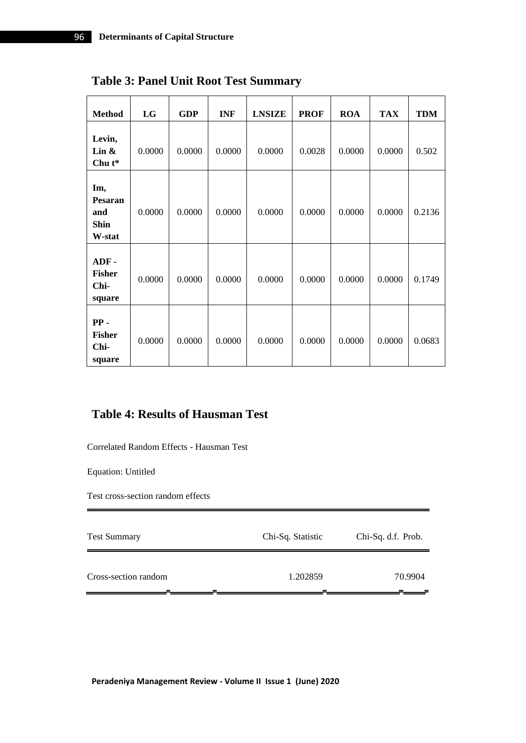| <b>Method</b>                                  | LG     | <b>GDP</b> | <b>INF</b> | <b>LNSIZE</b> | <b>PROF</b> | <b>ROA</b> | <b>TAX</b> | <b>TDM</b> |
|------------------------------------------------|--------|------------|------------|---------------|-------------|------------|------------|------------|
| Levin,<br>Lin $\&$<br>Chu $t^*$                | 0.0000 | 0.0000     | 0.0000     | 0.0000        | 0.0028      | 0.0000     | 0.0000     | 0.502      |
| Im,<br>Pesaran<br>and<br><b>Shin</b><br>W-stat | 0.0000 | 0.0000     | 0.0000     | 0.0000        | 0.0000      | 0.0000     | 0.0000     | 0.2136     |
| $ADF -$<br><b>Fisher</b><br>Chi-<br>square     | 0.0000 | 0.0000     | 0.0000     | 0.0000        | 0.0000      | 0.0000     | 0.0000     | 0.1749     |
| $PP -$<br><b>Fisher</b><br>Chi-<br>square      | 0.0000 | 0.0000     | 0.0000     | 0.0000        | 0.0000      | 0.0000     | 0.0000     | 0.0683     |

**Table 3: Panel Unit Root Test Summary**

# **Table 4: Results of Hausman Test**

Correlated Random Effects - Hausman Test

Equation: Untitled

Test cross-section random effects

| <b>Test Summary</b>  | Chi-Sq. Statistic | Chi-Sq. d.f. Prob. |  |
|----------------------|-------------------|--------------------|--|
| Cross-section random | 1.202859          | 70.9904            |  |